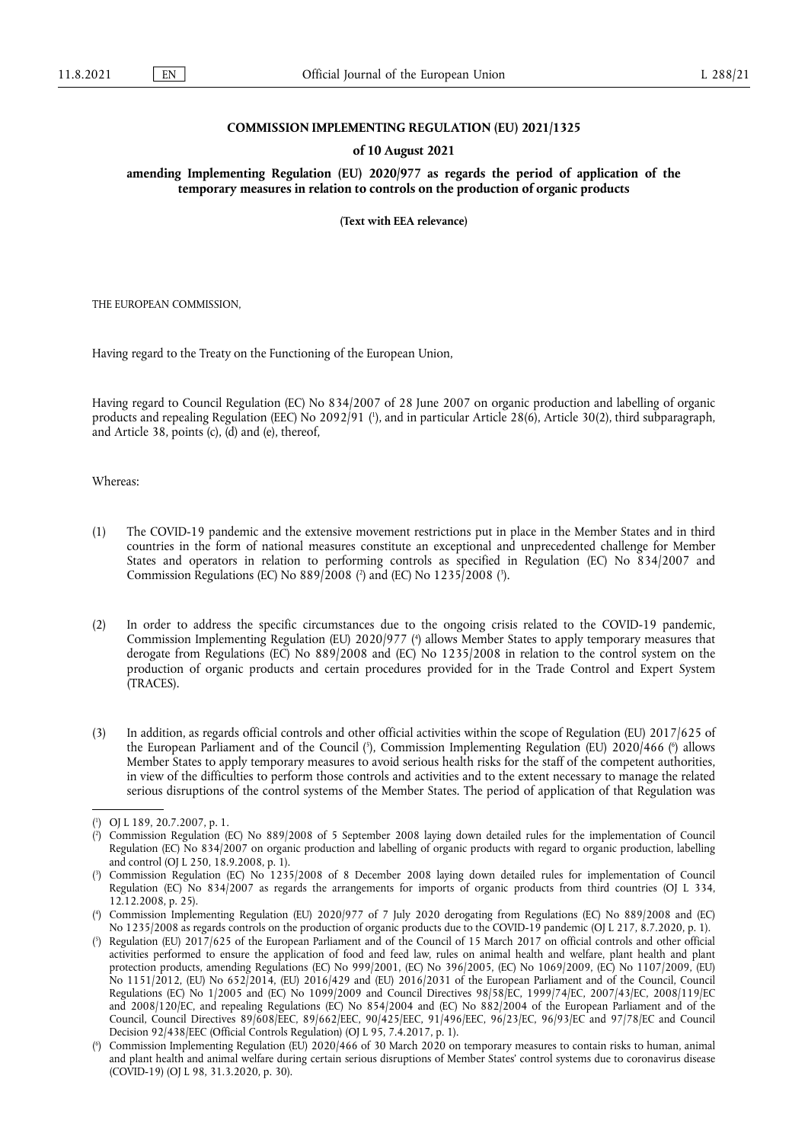## **COMMISSION IMPLEMENTING REGULATION (EU) 2021/1325**

## **of 10 August 2021**

**amending Implementing Regulation (EU) 2020/977 as regards the period of application of the temporary measures in relation to controls on the production of organic products** 

**(Text with EEA relevance)** 

THE EUROPEAN COMMISSION,

Having regard to the Treaty on the Functioning of the European Union,

<span id="page-0-6"></span>Having regard to Council Regulation (EC) No 834/2007 of 28 June 2007 on organic production and labelling of organic products and repealing Regulation (EEC) No 2092/91 [\(](#page-0-0) 1 ), and in particular Article 28(6), Article 30(2), third subparagraph, and Article 38, points (c), (d) and (e), thereof,

Whereas:

- <span id="page-0-7"></span>(1) The COVID-19 pandemic and the extensive movement restrictions put in place in the Member States and in third countries in the form of national measures constitute an exceptional and unprecedented challenge for Member States and operators in relation to performing controls as specified in Regulation (EC) No 834/2007 and Commission Regulations [\(](#page-0-1)EC) No 889/2008 (<sup>2</sup>) and (EC) No 1235/2008 (<sup>3</sup>[\).](#page-0-2)
- <span id="page-0-8"></span>(2) In order to address the specific circumstances due to the ongoing crisis related to the COVID-19 pandemic, Commission Implementing Regulation (EU) 2020/977 [\(](#page-0-3) 4 ) allows Member States to apply temporary measures that derogate from Regulations (EC) No 889/2008 and (EC) No 1235/2008 in relation to the control system on the production of organic products and certain procedures provided for in the Trade Control and Expert System (TRACES).
- <span id="page-0-9"></span>(3) In addition, as regards official controls and other official activities within the scope of Regulation (EU) 2017/625 of the European Parliament and of the Council (3[\),](#page-0-4) Commission Implementing Regulation [\(](#page-0-5)EU) 2020/466 (6) allows Member States to apply temporary measures to avoid serious health risks for the staff of the competent authorities, in view of the difficulties to perform those controls and activities and to the extent necessary to manage the related serious disruptions of the control systems of the Member States. The period of application of that Regulation was

<span id="page-0-0"></span>[<sup>\(</sup>](#page-0-6) 1 ) OJ L 189, 20.7.2007, p. 1.

<span id="page-0-1"></span>[<sup>\(</sup>](#page-0-7) 2 ) Commission Regulation (EC) No 889/2008 of 5 September 2008 laying down detailed rules for the implementation of Council Regulation (EC) No 834/2007 on organic production and labelling of organic products with regard to organic production, labelling and control (OJ L 250, 18.9.2008, p. 1).

<span id="page-0-2"></span>[<sup>\(</sup>](#page-0-7) 3 ) Commission Regulation (EC) No 1235/2008 of 8 December 2008 laying down detailed rules for implementation of Council Regulation (EC) No 834/2007 as regards the arrangements for imports of organic products from third countries (OJ L 334, 12.12.2008, p. 25).

<span id="page-0-3"></span>[<sup>\(</sup>](#page-0-8) 4 ) Commission Implementing Regulation (EU) 2020/977 of 7 July 2020 derogating from Regulations (EC) No 889/2008 and (EC) No 1235/2008 as regards controls on the production of organic products due to the COVID-19 pandemic (OJ L 217, 8.7.2020, p. 1).

<span id="page-0-4"></span>[<sup>\(</sup>](#page-0-9) 5 ) Regulation (EU) 2017/625 of the European Parliament and of the Council of 15 March 2017 on official controls and other official activities performed to ensure the application of food and feed law, rules on animal health and welfare, plant health and plant protection products, amending Regulations (EC) No 999/2001, (EC) No 396/2005, (EC) No 1069/2009, (EC) No 1107/2009, (EU) No 1151/2012, (EU) No 652/2014, (EU) 2016/429 and (EU) 2016/2031 of the European Parliament and of the Council, Council Regulations (EC) No 1/2005 and (EC) No 1099/2009 and Council Directives 98/58/EC, 1999/74/EC, 2007/43/EC, 2008/119/EC and 2008/120/EC, and repealing Regulations (EC) No 854/2004 and (EC) No 882/2004 of the European Parliament and of the Council, Council Directives 89/608/EEC, 89/662/EEC, 90/425/EEC, 91/496/EEC, 96/23/EC, 96/93/EC and 97/78/EC and Council Decision 92/438/EEC (Official Controls Regulation) (OJ L 95, 7.4.2017, p. 1).

<span id="page-0-5"></span>[<sup>\(</sup>](#page-0-9) 6 ) Commission Implementing Regulation (EU) 2020/466 of 30 March 2020 on temporary measures to contain risks to human, animal and plant health and animal welfare during certain serious disruptions of Member States' control systems due to coronavirus disease (COVID-19) (OJ L 98, 31.3.2020, p. 30).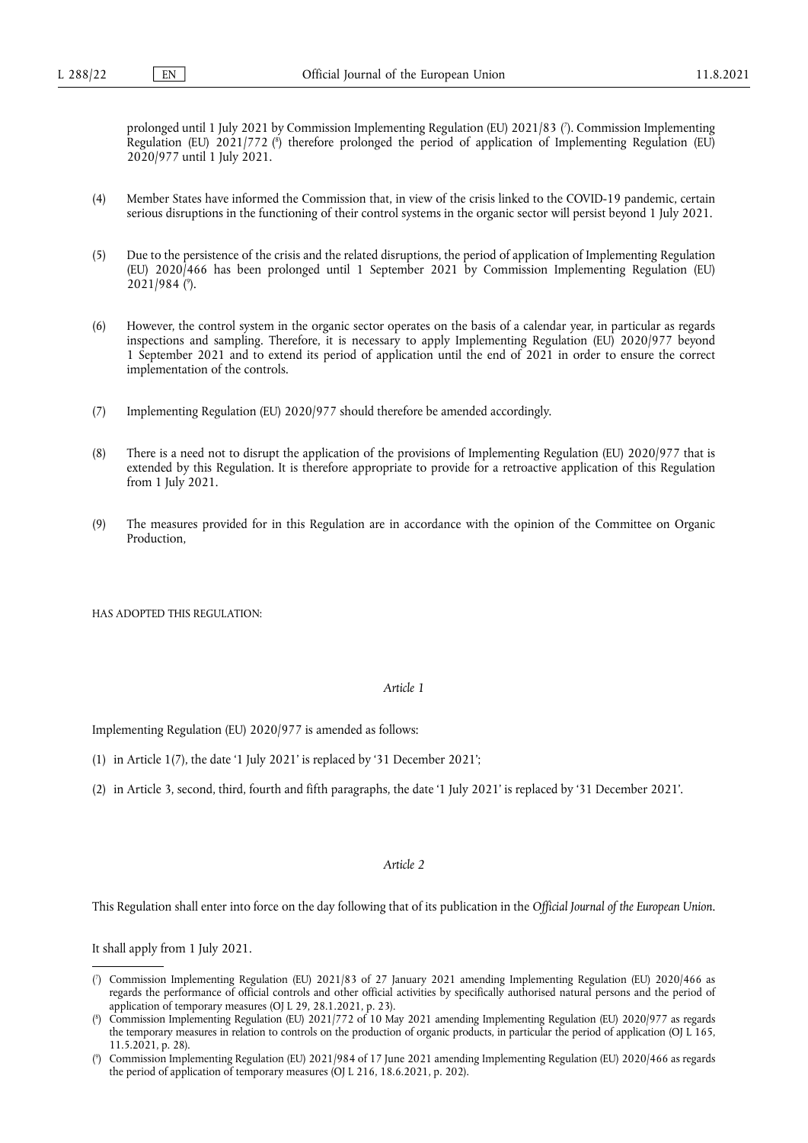<span id="page-1-4"></span><span id="page-1-3"></span>prolonged until 1 July 2021 by Commission Implementing Regulation (EU) 2021/83 ( 7 [\).](#page-1-0) Commission Implementing Regulation [\(](#page-1-1)EU) 2021/772 (<sup>8</sup>) therefore prolonged the period of application of Implementing Regulation (EU) 2020/977 until 1 July 2021.

- (4) Member States have informed the Commission that, in view of the crisis linked to the COVID-19 pandemic, certain serious disruptions in the functioning of their control systems in the organic sector will persist beyond 1 July 2021.
- <span id="page-1-5"></span>(5) Due to the persistence of the crisis and the related disruptions, the period of application of Implementing Regulation (EU) 2020/466 has been prolonged until 1 September 2021 by Commission Implementing Regulation (EU) 2021/984 ( 9 [\).](#page-1-2)
- (6) However, the control system in the organic sector operates on the basis of a calendar year, in particular as regards inspections and sampling. Therefore, it is necessary to apply Implementing Regulation (EU) 2020/977 beyond 1 September 2021 and to extend its period of application until the end of 2021 in order to ensure the correct implementation of the controls.
- (7) Implementing Regulation (EU) 2020/977 should therefore be amended accordingly.
- (8) There is a need not to disrupt the application of the provisions of Implementing Regulation (EU) 2020/977 that is extended by this Regulation. It is therefore appropriate to provide for a retroactive application of this Regulation from 1 July 2021.
- (9) The measures provided for in this Regulation are in accordance with the opinion of the Committee on Organic Production,

HAS ADOPTED THIS REGULATION:

## *Article 1*

Implementing Regulation (EU) 2020/977 is amended as follows:

- (1) in Article 1(7), the date '1 July 2021' is replaced by '31 December 2021';
- (2) in Article 3, second, third, fourth and fifth paragraphs, the date '1 July 2021' is replaced by '31 December 2021'.

## *Article 2*

This Regulation shall enter into force on the day following that of its publication in the *Official Journal of the European Union*.

It shall apply from 1 July 2021.

<span id="page-1-0"></span>[<sup>\(</sup>](#page-1-3) 7 ) Commission Implementing Regulation (EU) 2021/83 of 27 January 2021 amending Implementing Regulation (EU) 2020/466 as regards the performance of official controls and other official activities by specifically authorised natural persons and the period of application of temporary measures (OJ L 29, 28.1.2021, p. 23).

<span id="page-1-1"></span>[<sup>\(</sup>](#page-1-4) 8 ) Commission Implementing Regulation (EU) 2021/772 of 10 May 2021 amending Implementing Regulation (EU) 2020/977 as regards the temporary measures in relation to controls on the production of organic products, in particular the period of application (OJ L 165, 11.5.2021, p. 28).

<span id="page-1-2"></span>[<sup>\(</sup>](#page-1-5) 9 ) Commission Implementing Regulation (EU) 2021/984 of 17 June 2021 amending Implementing Regulation (EU) 2020/466 as regards the period of application of temporary measures (OJ L 216, 18.6.2021, p. 202).